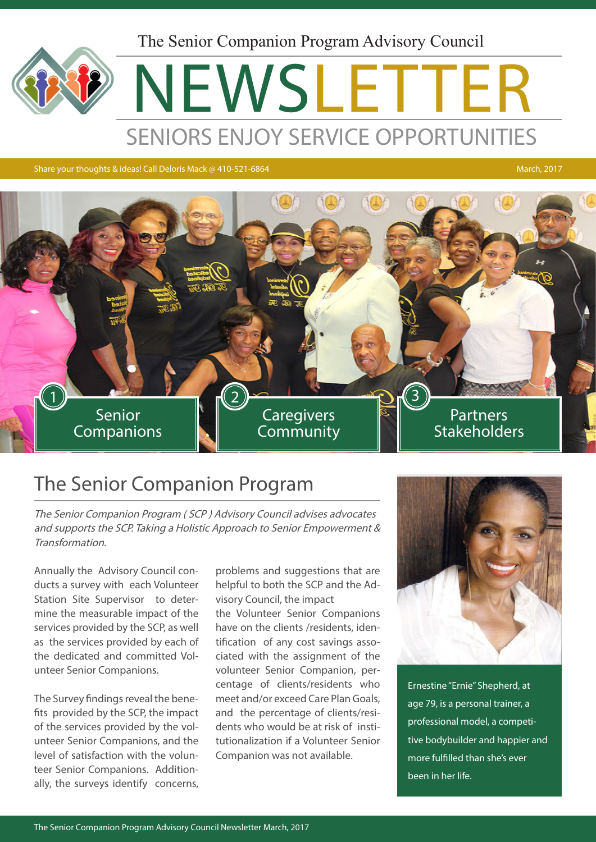The Senior Companion Program Advisory Council

# NEWSLETTER SENIORS ENJOY SERVICE OPPORTUNITIES

Share your thoughts & ideas! Call Deloris Mack @ 410-521-6864 March, 2017



### The Senior Companion Program

The Senior Companion Program ( SCP ) Advisory Council advises advocates and supports the SCP. Taking a Holistic Approach to Senior Empowerment & Transformation.

Annually the Advisory Council conducts a survey with each Volunteer Station Site Supervisor to determine the measurable impact of the services provided by the SCP, as well as the services provided by each of the dedicated and committed Volunteer Senior Companions.

The Survey findings reveal the benefits provided by the SCP, the impact of the services provided by the volunteer Senior Companions, and the level of satisfaction with the volunteer Senior Companions. Additionally, the surveys identify concerns, problems and suggestions that are helpful to both the SCP and the Advisory Council, the impact the Volunteer Senior Companions have on the clients /residents, identification of any cost savings associated with the assignment of the volunteer Senior Companion, percentage of clients/residents who meet and/or exceed Care Plan Goals, and the percentage of clients/residents who would be at risk of institutionalization if a Volunteer Senior Companion was not available.



Ernestine "Ernie" Shepherd, at age 79, is a personal trainer, a professional model, a competitive bodybuilder and happier and more fulfilled than she's ever been in her life.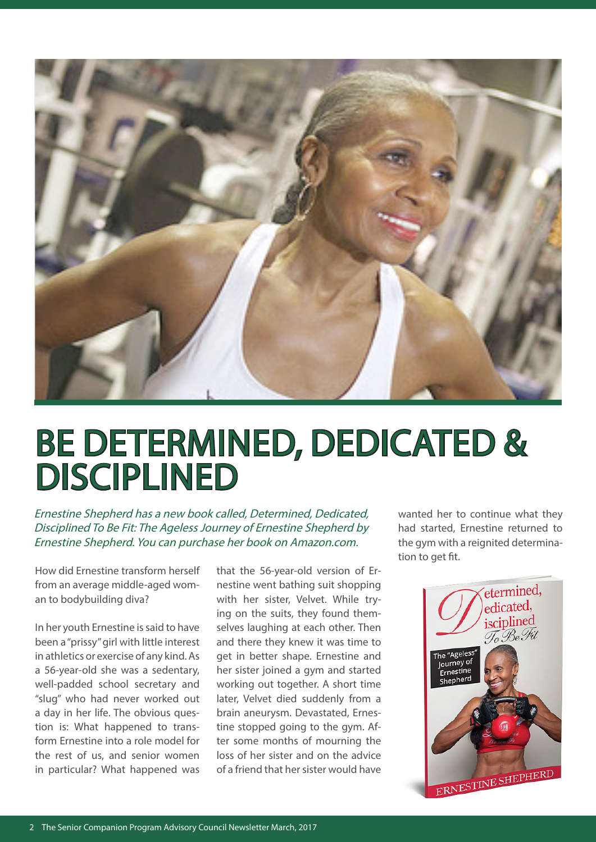

## BE DETERMINED, DEDICATED & DISCIPLINED

Ernestine Shepherd has a new book called, Determined, Dedicated, Disciplined To Be Fit: The Ageless Journey of Ernestine Shepherd by Ernestine Shepherd. You can purchase her book on Amazon.com.

How did Ernestine transform herself from an average middle-aged woman to bodybuilding diva?

In her youth Ernestine is said to have been a "prissy" girl with little interest in athletics or exercise of any kind. As a 56-year-old she was a sedentary, well-padded school secretary and "slug" who had never worked out a day in her life. The obvious question is: What happened to transform Ernestine into a role model for the rest of us, and senior women in particular? What happened was

that the 56-year-old version of Ernestine went bathing suit shopping with her sister, Velvet. While trying on the suits, they found themselves laughing at each other. Then and there they knew it was time to get in better shape. Ernestine and her sister joined a gym and started working out together. A short time later, Velvet died suddenly from a brain aneurysm. Devastated, Ernestine stopped going to the gym. After some months of mourning the loss of her sister and on the advice of a friend that her sister would have wanted her to continue what they had started, Ernestine returned to the gym with a reignited determination to get fit.

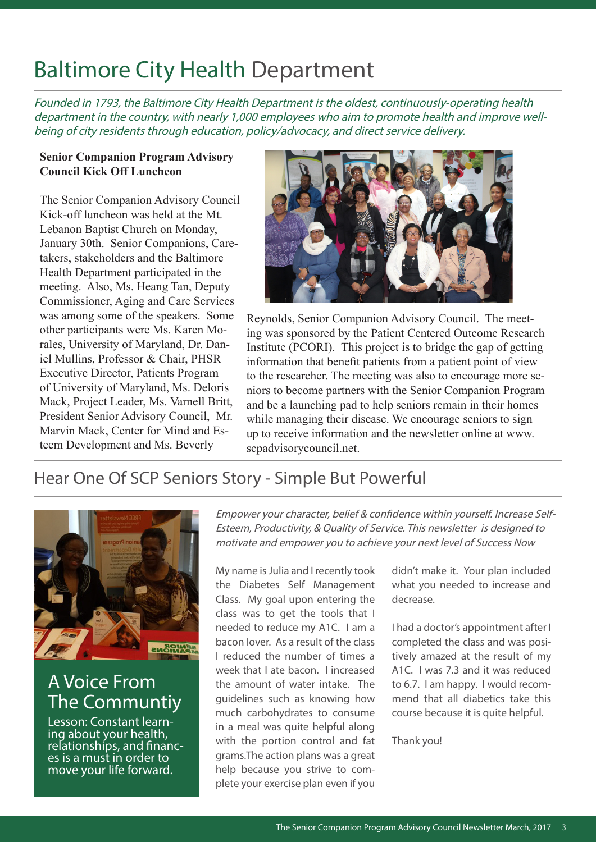## Baltimore City Health Department

Founded in 1793, the Baltimore City Health Department is the oldest, continuously-operating health department in the country, with nearly 1,000 employees who aim to promote health and improve wellbeing of city residents through education, policy/advocacy, and direct service delivery.

#### **Senior Companion Program Advisory Council Kick Off Luncheon**

The Senior Companion Advisory Council Kick-off luncheon was held at the Mt. Lebanon Baptist Church on Monday, January 30th. Senior Companions, Caretakers, stakeholders and the Baltimore Health Department participated in the meeting. Also, Ms. Heang Tan, Deputy Commissioner, Aging and Care Services was among some of the speakers. Some other participants were Ms. Karen Morales, University of Maryland, Dr. Daniel Mullins, Professor & Chair, PHSR Executive Director, Patients Program of University of Maryland, Ms. Deloris Mack, Project Leader, Ms. Varnell Britt, President Senior Advisory Council, Mr. Marvin Mack, Center for Mind and Esteem Development and Ms. Beverly



Reynolds, Senior Companion Advisory Council. The meeting was sponsored by the Patient Centered Outcome Research Institute (PCORI). This project is to bridge the gap of getting information that benefit patients from a patient point of view to the researcher. The meeting was also to encourage more seniors to become partners with the Senior Companion Program and be a launching pad to help seniors remain in their homes while managing their disease. We encourage seniors to sign up to receive information and the newsletter online at www. scpadvisorycouncil.net.

### Hear One Of SCP Seniors Story - Simple But Powerful



### A Voice From The Communtiy

Lesson: Constant learn-<br>ing about your health, relationships, and financ- es is a must in order to move your life forward.

Empower your character, belief & confidence within yourself. Increase Self-Esteem, Productivity, & Quality of Service. This newsletter is designed to motivate and empower you to achieve your next level of Success Now

My name is Julia and I recently took the Diabetes Self Management Class. My goal upon entering the class was to get the tools that I needed to reduce my A1C. I am a bacon lover. As a result of the class I reduced the number of times a week that I ate bacon. I increased the amount of water intake. The guidelines such as knowing how much carbohydrates to consume in a meal was quite helpful along with the portion control and fat grams.The action plans was a great help because you strive to complete your exercise plan even if you

didn't make it. Your plan included what you needed to increase and decrease.

I had a doctor's appointment after I completed the class and was positively amazed at the result of my A1C. I was 7.3 and it was reduced to 6.7. I am happy. I would recommend that all diabetics take this course because it is quite helpful.

Thank you!